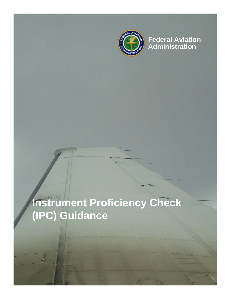

**Federal Aviation Administration**

# **Instrument Proficiency Check (IPC) Guidance**

Ĵ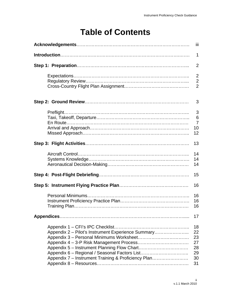# **Table of Contents**

|                                                                                                                                                            | Ϊij                                                |
|------------------------------------------------------------------------------------------------------------------------------------------------------------|----------------------------------------------------|
|                                                                                                                                                            | 1                                                  |
|                                                                                                                                                            | $\overline{2}$                                     |
|                                                                                                                                                            | $\overline{2}$<br>$\overline{2}$<br>$\overline{2}$ |
|                                                                                                                                                            | 3                                                  |
|                                                                                                                                                            | 3<br>$\,6$<br>$\overline{7}$<br>10<br>12           |
|                                                                                                                                                            | 13                                                 |
|                                                                                                                                                            | 14<br>14<br>14                                     |
|                                                                                                                                                            | 15                                                 |
|                                                                                                                                                            | 16                                                 |
|                                                                                                                                                            | 16<br>16<br>16                                     |
|                                                                                                                                                            | 17                                                 |
| Appendix 2 - Pilot's Instrument Experience Summary<br>Appendix 6 - Regional / Seasonal Factors List<br>Appendix 7 - Instrument Training & Proficiency Plan | 18<br>22<br>23<br>27<br>28<br>29<br>30<br>31       |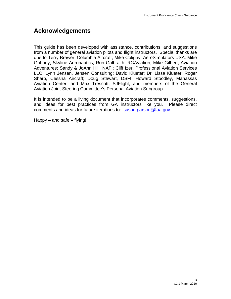### **Acknowledgements**

This guide has been developed with assistance, contributions, and suggestions from a number of general aviation pilots and flight instructors. Special thanks are due to Terry Brewer, Columbia Aircraft; Mike Coligny, AeroSimulators USA; Mike Gaffney, Skyline Aeronautics; Ron Galbraith, RGAviation; Mike Gilbert, Aviation Adventures; Sandy & JoAnn Hill, NAFI; Cliff Izer, Professional Aviation Services LLC; Lynn Jensen, Jensen Consulting; David Klueter; Dr. Lissa Klueter; Roger Sharp, Cessna Aircraft; Doug Stewart, DSFI; Howard Stoodley, Manassas Aviation Center; and Max Trescott, SJFlight, and members of the General Aviation Joint Steering Committee's Personal Aviation Subgroup.

It is intended to be a living document that incorporates comments, suggestions, and ideas for best practices from GA instructors like you. Please direct comments and ideas for future iterations to: [susan.parson@faa.gov](mailto:susan.parson@faa.gov).

Happy – and safe – flying!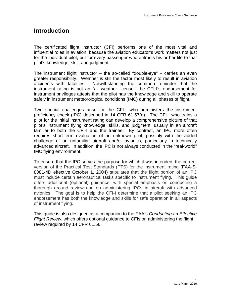### **Introduction**

The certificated flight instructor (CFI) performs one of the most vital and influential roles in aviation, because the aviation educator's work matters not just for the individual pilot, but for every passenger who entrusts his or her life to that pilot's knowledge, skill, and judgment.

The instrument flight instructor  $-$  the so-called "double-eye"  $-$  carries an even greater responsibility. Weather is still the factor most likely to result in aviation accidents with fatalities. Notwithstanding the common reminder that the instrument rating is not an "all weather license," the CFI-I's endorsement for instrument privileges attests that the pilot has the knowledge and skill to operate safely in instrument meteorological conditions (IMC) during all phases of flight.

Two special challenges arise for the CFI-I who administers the instrument proficiency check (IPC) described in 14 CFR 61.57(d). The CFI-I who trains a pilot for the initial instrument rating can develop a comprehensive picture of that pilot's instrument flying knowledge, skills, and judgment, usually in an aircraft familiar to both the CFI-I and the trainee. By contrast, an IPC more often requires short-term evaluation of an unknown pilot, possibly with the added challenge of an unfamiliar aircraft and/or avionics, particularly in technically advanced aircraft. In addition, the IPC is not always conducted in the "real-world" IMC flying environment.

To ensure that the IPC serves the purpose for which it was intended, the current version of the Practical Test Standards (PTS) for the instrument rating (FAA-S-8081-4D effective October 1, 2004) stipulates that the flight portion of an IPC must include certain aeronautical tasks specific to instrument flying. This guide offers additional (optional) guidance, with special emphasis on conducting a thorough ground review and on administering IPCs in aircraft with advanced avionics. The goal is to help the CFI-I determine that a pilot seeking an IPC endorsement has both the knowledge and skills for safe operation in all aspects of instrument flying.

This guide is also designed as a companion to the FAA's *Conducting an Effective Flight Review*, which offers optional guidance to CFIs on administering the flight review required by 14 CFR 61.56.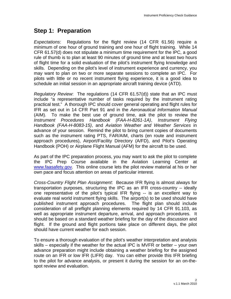### **Step 1: Preparation**

*Expectations*: Regulations for the flight review (14 CFR 61.56) require a minimum of one hour of ground training and one hour of flight training. While 14 CFR 61.57(d) does not stipulate a minimum time requirement for the IPC, a good rule of thumb is to plan at least 90 minutes of ground time and at least two hours of flight time for a solid evaluation of the pilot's instrument flying knowledge and skills. Depending on the pilot's level of instrument experience and currency, you may want to plan on two or more separate sessions to complete an IPC. For pilots with little or no recent instrument flying experience, it is a good idea to schedule an initial session in an appropriate aircraft training device (ATD).

*Regulatory Review*: The regulations (14 CFR 61.57(d)) state that an IPC must include "a representative number of tasks required by the instrument rating practical test." A thorough IPC should cover general operating and flight rules for IFR as set out in 14 CFR Part 91 and in the *Aeronautical Information Manual* (AIM). To make the best use of ground time, ask the pilot to review the *Instrument Procedures Handbook (FAA-H-8261-1A)*, *Instrument Flying Handbook (FAA-H-8083-15)*, and *Aviation Weather and Weather Services* in advance of your session. Remind the pilot to bring current copies of documents such as the instrument rating PTS, FAR/AIM, charts (en route and instrument approach procedures), Airport/Facility Directory (A/FD), and Pilot's Operating Handbook (POH) or Airplane Flight Manual (AFM) for the aircraft to be used.

As part of the IPC preparation process, you may want to ask the pilot to complete the IPC Prep Course available in the Aviation Learning Center at [www.faasafety.gov.](http://www.faasafety.gov/) This online course lets the pilot review material at his or her own pace and focus attention on areas of particular interest.

*Cross-Country Flight Plan Assignment*: Because IFR flying is almost always for transportation purposes, structuring the IPC as an IFR cross-country – ideally one representative of the pilot's typical IFR flying -- is an excellent way to evaluate real world instrument flying skills. The airport(s) to be used should have published instrument approach procedures. The flight plan should include consideration of all preflight planning elements required by 14 CFR 91.103, as well as appropriate instrument departure, arrival, and approach procedures. It should be based on a standard weather briefing for the day of the discussion and flight. If the ground and flight portions take place on different days, the pilot should have current weather for each session.

To ensure a thorough evaluation of the pilot's weather interpretation and analysis skills – especially if the weather for the actual IPC is MVFR or better – your own advance preparation might include obtaining a weather briefing for the assigned route on an IFR or low IFR (LIFR) day. You can either provide this IFR briefing to the pilot for advance analysis, or present it during the session for an on-thespot review and evaluation.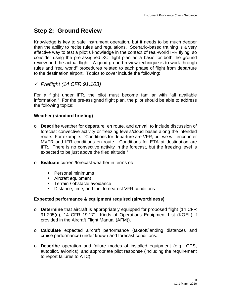### **Step 2: Ground Review**

Knowledge is key to safe instrument operation, but it needs to be much deeper than the ability to recite rules and regulations. Scenario-based training is a very effective way to test a pilot's knowledge in the context of real-world IFR flying, so consider using the pre-assigned XC flight plan as a basis for both the ground review and the actual flight. A good ground review technique is to work through rules and "real world" procedures related to each phase of flight from departure to the destination airport. Topics to cover include the following:

9 *Preflight (14 CFR 91.103)* 

For a flight under IFR, the pilot must become familiar with "all available information." For the pre-assigned flight plan, the pilot should be able to address the following topics:

### **Weather (standard briefing)**

- o **Describe** weather for departure, en route, and arrival, to include discussion of forecast convective activity or freezing levels/cloud bases along the intended route. For example: "Conditions for departure are VFR, but we will encounter MVFR and IFR conditions en route. Conditions for ETA at destination are IFR. There is no convective activity in the forecast, but the freezing level is expected to be just above the filed altitude."
- o **Evaluate** current/forecast weather in terms of**:**
	- **Personal minimums**
	- **Aircraft equipment**
	- **Terrain / obstacle avoidance**
	- Distance, time, and fuel to nearest VFR conditions

### **Expected performance & equipment required (airworthiness)**

- o **Determine** that aircraft is appropriately equipped for proposed flight (14 CFR 91.205(d), 14 CFR 19.171, Kinds of Operations Equipment List (KOEL) if provided in the Aircraft Flight Manual (AFM)).
- o **Calculate** expected aircraft performance (takeoff/landing distances and cruise performance) under known and forecast conditions.
- o **Describe** operation and failure modes of installed equipment (e.g., GPS, autopilot, avionics), and appropriate pilot response (including the requirement to report failures to ATC).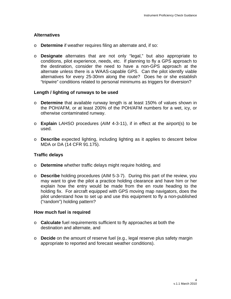#### **Alternatives**

- o **Determine** if weather requires filing an alternate and, if so:
- o **Designate** alternates that are not only "legal," but also appropriate to conditions, pilot experience, needs, etc. If planning to fly a GPS approach to the destination, consider the need to have a non-GPS approach at the alternate unless there is a WAAS-capable GPS. Can the pilot identify viable alternatives for every 25-30nm along the route? Does he or she establish "tripwire" conditions related to personal minimums as triggers for diversion?

#### **Length / lighting of runways to be used**

- o **Determine** that available runway length is at least 150% of values shown in the POH/AFM, or at least 200% of the POH/AFM numbers for a wet, icy, or otherwise contaminated runway.
- o **Explain** LAHSO procedures (*AIM* 4-3-11), if in effect at the airport(s) to be used.
- o **Describe** expected lighting, including lighting as it applies to descent below MDA or DA (14 CFR 91.175).

#### **Traffic delays**

- o **Determine** whether traffic delays might require holding, and
- o **Describe** holding procedures (AIM 5-3-7). During this part of the review, you may want to give the pilot a practice holding clearance and have him or her explain how the entry would be made from the en route heading to the holding fix. For aircraft equipped with GPS moving map navigators, does the pilot understand how to set up and use this equipment to fly a non-published ("random") holding pattern?

#### **How much fuel is required**

- o **Calculate** fuel requirements sufficient to fly approaches at both the destination and alternate, and
- o **Decide** on the amount of reserve fuel (e.g., legal reserve plus safety margin appropriate to reported and forecast weather conditions).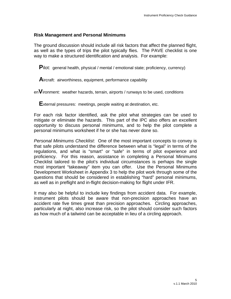### **Risk Management and Personal Minimums**

The ground discussion should include all risk factors that affect the planned flight, as well as the types of trips the pilot typically flies. The PAVE checklist is one way to make a structured identification and analysis. For example:

**Pilot:** general health, physical / mental / emotional state; proficiency, currency)

**A**ircraft: airworthiness, equipment, performance capability

en**V**ironment: weather hazards, terrain, airports / runways to be used, conditions

**E**xternal pressures: meetings, people waiting at destination, etc.

For each risk factor identified, ask the pilot what strategies can be used to mitigate or eliminate the hazards. This part of the IPC also offers an excellent opportunity to discuss personal minimums, and to help the pilot complete a personal minimums worksheet if he or she has never done so.

*Personal Minimums Checklist*: One of the most important concepts to convey is that safe pilots understand the difference between what is "legal" in terms of the regulations, and what is "smart" or "safe" in terms of pilot experience and proficiency. For this reason, assistance in completing a Personal Minimums Checklist tailored to the pilot's individual circumstances is perhaps the single most important "takeaway" item you can offer. Use the Personal Minimums Development Worksheet in Appendix 3 to help the pilot work through some of the questions that should be considered in establishing "hard" personal minimums, as well as in preflight and in-flight decision-making for flight under IFR.

It may also be helpful to include key findings from accident data. For example, instrument pilots should be aware that non-precision approaches have an accident rate five times great than precision approaches. Circling approaches, particularly at night, also increase risk, so the pilot should consider such factors as how much of a tailwind can be acceptable in lieu of a circling approach.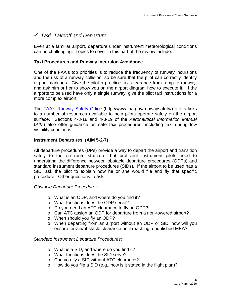### 9 *Taxi, Takeoff and Departure*

Even at a familiar airport, departure under instrument meteorological conditions can be challenging. Topics to cover in this part of the review include:

### **Taxi Procedures and Runway Incursion Avoidance**

One of the FAA's top priorities is to reduce the frequency of runway incursions and the risk of a runway collision, so be sure that the pilot can correctly identify airport markings. Give the pilot a practice taxi clearance from ramp to runway, and ask him or her to show you on the airport diagram how to execute it. If the airports to be used have only a single runway, give the pilot taxi instructions for a more complex airport.

The [FAA's Runway Safety Office](http://www.faa.gov/runwaysafety/) (http://www.faa.gov/runwaysafety/) offers links to a number of resources available to help pilots operate safely on the airport surface. Sections 4-3-18 and 4-3-19 of the *Aeronautical Information Manual* (*AIM*) also offer guidance on safe taxi procedures, including taxi during low visibility conditions.

### **Instrument Departures (AIM 5-2-7)**

All departure procedures (DPs) provide a way to depart the airport and transition safely to the en route structure, but proficient instrument pilots need to understand the difference between obstacle departure procedures (ODPs) and standard instrument departure procedures (SIDs). If the airport to be used has a SID, ask the pilot to explain how he or she would file and fly that specific procedure. Other questions to ask:

*Obstacle Departure Procedures*:

- o What is an ODP, and where do you find it?
- o What functions does the ODP serve?
- o Do you need an ATC clearance to fly an ODP?
- o Can ATC assign an ODP for departure from a non-towered airport?
- o When should you fly an ODP?
- o When departing from an airport without an ODP or SID, how will you ensure terrain/obstacle clearance until reaching a published MEA?

#### *Standard Instrument Departure Procedures*:

- o What is a SID, and where do you find it?
- o What functions does the SID serve?
- o Can you fly a SID without ATC clearance?
- $\circ$  How do you file a SID (e.g., how is it stated in the flight plan)?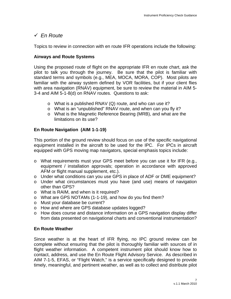### 9 *En Route*

Topics to review in connection with en route IFR operations include the following:

### **Airways and Route Systems**

Using the proposed route of flight on the appropriate IFR en route chart, ask the pilot to talk you through the journey. Be sure that the pilot is familiar with standard terms and symbols (e.g., MEA, MOCA, MORA, COP). Most pilots are familiar with the airway system defined by VOR facilities, but if your client flies with area navigation (RNAV) equipment, be sure to review the material in AIM 5- 3-4 and AIM 5-1-8(d) on RNAV routes. Questions to ask:

- o What is a published RNAV (Q) route, and who can use it?
- o What is an "unpublished" RNAV route, and when can you fly it?
- o What is the Magnetic Reference Bearing (MRB), and what are the limitations on its use?

### **En Route Navigation (AIM 1-1-19)**

This portion of the ground review should focus on use of the specific navigational equipment installed in the aircraft to be used for the IPC. For IPCs in aircraft equipped with GPS moving map navigators, special emphasis topics include:

- o What requirements must your GPS meet before you can use it for IFR (e.g., equipment / installation approvals; operation in accordance with approved AFM or flight manual supplement, etc.).
- o Under what conditions can you use GPS in place of ADF or DME equipment?
- o Under what circumstances must you have (and use) means of navigation other than GPS?
- o What is RAIM, and when is it required?
- o What are GPS NOTAMs (1-1-19), and how do you find them?
- o Must your database be current?
- o How and where are GPS database updates logged?
- o How does course and distance information on a GPS navigation display differ from data presented on navigational charts and conventional instrumentation?

### **En Route Weather**

Since weather is at the heart of IFR flying, no IPC ground review can be complete without ensuring that the pilot is thoroughly familiar with sources of in flight weather information. A competent instrument pilot should know how to contact, address, and use the En Route Flight Advisory Service. As described in AIM 7-1-5, EFAS, or "Flight Watch," is a service specifically designed to provide timely, meaningful, and pertinent weather, as well as to collect and distribute pilot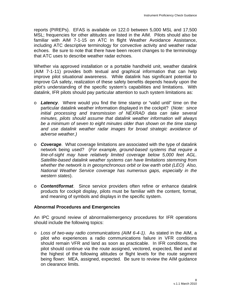reports (PIREPs). EFAS is available on 122.0 between 5,000 MSL and 17,500 MSL; frequencies for other altitudes are listed in the AIM. Pilots should also be familiar with AIM 7-1-15 on ATC In flight Weather Avoidance Assistance, including ATC descriptive terminology for convective activity and weather radar echoes. Be sure to note that there have been recent changes to the terminology that ATC uses to describe weather radar echoes.

Whether via approved installation or a portable handheld unit, weather datalink (AIM 7-1-11) provides both textual and graphical information that can help improve pilot situational awareness. While datalink has significant potential to improve GA safety, realization of these safety benefits depends heavily upon the pilot's understanding of the specific system's capabilities and limitations. With datalink, IFR pilots should pay particular attention to such system limitations as:

- o *Latency*. Where would you find the time stamp or "valid until" time on the particular datalink weather information displayed in the cockpit? (*Note: since initial processing and transmission of NEXRAD data can take several minutes, pilots should assume that datalink weather information will always be a minimum of seven to eight minutes older than shown on the time stamp and use datalink weather radar images for broad strategic avoidance of adverse weather.)*
- o *Coverage*. What coverage limitations are associated with the type of datalink network being used? (*For example, ground-based systems that require a line-of-sight may have relatively limited coverage below 5,000 feet AGL. Satellite-based datalink weather systems can have limitations stemming from whether the network is in geosynchronous orbit or low earth orbit (LEO) Also, National Weather Service coverage has numerous gaps, especially in the western states*).
- o *Content/format*. Since service providers often refine or enhance datalink products for cockpit display, pilots must be familiar with the content, format, and meaning of symbols and displays in the specific system.

#### **Abnormal Procedures and Emergencies**

An IPC ground review of abnormal/emergency procedures for IFR operations should include the following topics:

o *Loss of two-way radio communications (AIM 6-4-1)*. As stated in the AIM, a pilot who experiences a radio communications failure in VFR conditions should remain VFR and land as soon as practicable. In IFR conditions, the pilot should continue via the route assigned, vectored, expected, filed and at the highest of the following altitudes or flight levels for the route segment being flown: MEA, assigned, expected. Be sure to review the AIM guidance on clearance limits.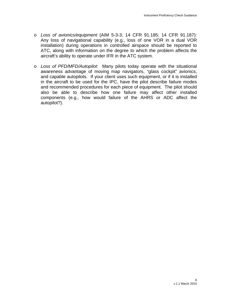- o *Loss of avionics/equipment* (AIM 5-3-3; 14 CFR 91.185; 14 CFR 91.187): Any loss of navigational capability (e.g., loss of one VOR in a dual VOR installation) during operations in controlled airspace should be reported to ATC, along with information on the degree to which the problem affects the aircraft's ability to operate under IFR in the ATC system.
- o *Loss of PFD/MFD/Autopilot*: Many pilots today operate with the situational awareness advantage of moving map navigators, "glass cockpit" avionics, and capable autopilots. If your client uses such equipment, or if it is installed in the aircraft to be used for the IPC, have the pilot describe failure modes and recommended procedures for each piece of equipment. The pilot should also be able to describe how one failure may affect other installed components (e.g., how would failure of the AHRS or ADC affect the autopilot?).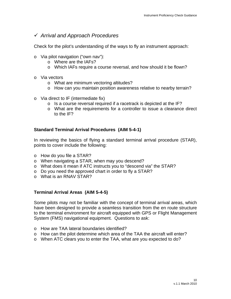### 9 *Arrival and Approach Procedures*

Check for the pilot's understanding of the ways to fly an instrument approach:

- o Via pilot navigation ("own nav"):
	- o Where are the IAFs?
	- o Which IAFs require a course reversal, and how should it be flown?
- o Via vectors
	- o What are minimum vectoring altitudes?
	- o How can you maintain position awareness relative to nearby terrain?
- o Via direct to IF (intermediate fix)
	- o Is a course reversal required if a racetrack is depicted at the IF?
	- o What are the requirements for a controller to issue a clearance direct to the IF?

### **Standard Terminal Arrival Procedures (AIM 5-4-1)**

In reviewing the basics of flying a standard terminal arrival procedure (STAR), points to cover include the following:

- o How do you file a STAR?
- o When navigating a STAR, when may you descend?
- o What does it mean if ATC instructs you to "descend via" the STAR?
- o Do you need the approved chart in order to fly a STAR?
- o What is an RNAV STAR?

### **Terminal Arrival Areas (AIM 5-4-5)**

Some pilots may not be familiar with the concept of terminal arrival areas, which have been designed to provide a seamless transition from the en route structure to the terminal environment for aircraft equipped with GPS or Flight Management System (FMS) navigational equipment. Questions to ask:

- o How are TAA lateral boundaries identified?
- $\circ$  How can the pilot determine which area of the TAA the aircraft will enter?
- o When ATC clears you to enter the TAA, what are you expected to do?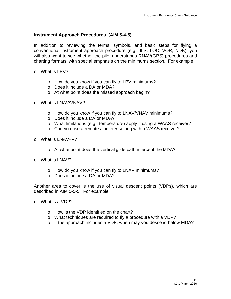### **Instrument Approach Procedures (AIM 5-4-5)**

In addition to reviewing the terms, symbols, and basic steps for flying a conventional instrument approach procedure (e.g., ILS, LOC, VOR, NDB), you will also want to see whether the pilot understands RNAV(GPS) procedures and charting formats, with special emphasis on the minimums section. For example:

- o What is LPV?
	- o How do you know if you can fly to LPV minimums?
	- o Does it include a DA or MDA?
	- o At what point does the missed approach begin?
- o What is LNAV/VNAV?
	- o How do you know if you can fly to LNAV/VNAV minimums?
	- o Does it include a DA or MDA?
	- o What limitations (e.g., temperature) apply if using a WAAS receiver?
	- o Can you use a remote altimeter setting with a WAAS receiver?
- o What is LNAV+V?
	- o At what point does the vertical glide path intercept the MDA?
- o What is LNAV?
	- o How do you know if you can fly to LNAV minimums?
	- o Does it include a DA or MDA?

Another area to cover is the use of visual descent points (VDPs), which are described in AIM 5-5-5. For example:

- o What is a VDP?
	- o How is the VDP identified on the chart?
	- o What techniques are required to fly a procedure with a VDP?
	- o If the approach includes a VDP, when may you descend below MDA?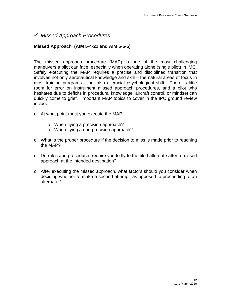### 9 *Missed Approach Procedures*

### **Missed Approach (AIM 5-4-21 and AIM 5-5-5)**

The missed approach procedure (MAP) is one of the most challenging maneuvers a pilot can face, especially when operating alone (single pilot) in IMC. Safely executing the MAP requires a precise and disciplined transition that involves not only aeronautical knowledge and skill – the natural areas of focus in most training programs – but also a crucial psychological shift. There is little room for error on instrument missed approach procedures, and a pilot who hesitates due to deficits in procedural knowledge, aircraft control, or mindset can quickly come to grief. Important MAP topics to cover in the IPC ground review include:

- o At what point must you execute the MAP:
	- o When flying a precision approach?
	- o When flying a non-precision approach?
- $\circ$  What is the proper procedure if the decision to miss is made prior to reaching the MAP?
- o Do rules and procedures require you to fly to the filed alternate after a missed approach at the intended destination?
- o After executing the missed approach, what factors should you consider when deciding whether to make a second attempt, as opposed to proceeding to an alternate?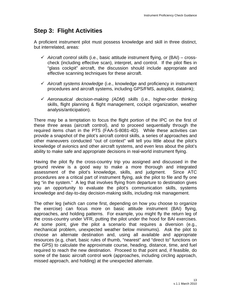### **Step 3: Flight Activities**

A proficient instrument pilot must possess knowledge and skill in three distinct, but interrelated, areas:

- 9 *Aircraft control skills* (i.e., basic attitude instrument flying, or (BAI) crosscheck (including effective scan), interpret, and control. If the pilot flies in "glass cockpit" aircraft, the discussion should include appropriate and effective scanning techniques for these aircraft.
- 9 *Aircraft systems knowledge* (i.e., knowledge and proficiency in instrument procedures and aircraft systems, including GPS/FMS, autopilot, datalink);
- 9 *Aeronautical decision-making (ADM) skills* (i.e., higher-order thinking skills, flight planning & flight management, cockpit organization, weather analysis/anticipation).

There may be a temptation to focus the flight portion of the IPC on the first of these three areas (aircraft control), and to proceed sequentially through the required items chart in the PTS (FAA-S-8081-4D). While these activities can provide a snapshot of the pilot's aircraft control skills, a series of approaches and other maneuvers conducted "out of context" will tell you little about the pilot's knowledge of avionics and other aircraft systems, and even less about the pilot's ability to make safe and appropriate decisions in real-world instrument flying.

Having the pilot fly the cross-country trip you assigned and discussed in the ground review is a good way to make a more thorough and integrated assessment of the pilot's knowledge, skills, and judgment. Since ATC procedures are a critical part of instrument flying, ask the pilot to file and fly one leg "in the system." A leg that involves flying from departure to destination gives you an opportunity to evaluate the pilot's communication skills, systems knowledge and day-to-day decision-making skills, including risk management.

The other leg (which can come first, depending on how you choose to organize the exercise) can focus more on basic attitude instrument (BAI) flying, approaches, and holding patterns. For example, you might fly the return leg of the cross-country under VFR, putting the pilot under the hood for BAI exercises. At some point, give the pilot a scenario that requires a diversion (e.g., mechanical problem, unexpected weather below minimums). Ask the pilot to choose an alternate destination and, using all available and appropriate resources (e.g, chart, basic rules of thumb, "nearest" and "direct to" functions on the GPS) to calculate the approximate course, heading, distance, time, and fuel required to reach the new destination. Proceed to that point and, if feasible, do some of the basic aircraft control work (approaches, including circling approach, missed approach, and holding) at the unexpected alternate.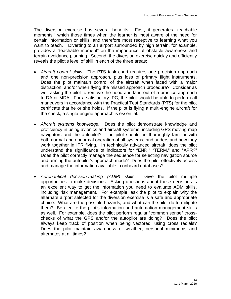The diversion exercise has several benefits. First, it generates "teachable moments," which those times when the learner is most aware of the need for certain information or skills, and therefore most receptive to learning what you want to teach. Diverting to an airport surrounded by high terrain, for example, provides a "teachable moment" on the importance of obstacle awareness and terrain avoidance planning. Second, the diversion exercise quickly and efficiently reveals the pilot's level of skill in each of the three areas:

- *Aircraft control skills*: The PTS task chart requires one precision approach and one non-precision approach, plus loss of primary flight instruments. Does the pilot maintain control of the aircraft when faced with a major distraction, and/or when flying the missed approach procedure? Consider as well asking the pilot to remove the hood and land out of a practice approach to DA or MDA. For a satisfactory IPC, the pilot should be able to perform all maneuvers in accordance with the Practical Test Standards (PTS) for the pilot certificate that he or she holds. If the pilot is flying a multi-engine aircraft for the check, a single-engine approach is essential.
- *Aircraft systems knowledge:* Does the pilot demonstrate knowledge and proficiency in using avionics and aircraft systems, including GPS moving map navigators and the autopilot? The pilot should be thoroughly familiar with both normal and abnormal operation of all systems, and understand how they work together in IFR flying. In technically advanced aircraft, does the pilot understand the significance of indicators for "ENR," "TERM," and "APR?" Does the pilot correctly manage the sequence for selecting navigation source and arming the autopilot's approach mode? Does the pilot effectively access and manage the information available in onboard databases?
- *Aeronautical decision-making (ADM) skills*: Give the pilot multiple opportunities to make decisions. Asking questions about those decisions is an excellent way to get the information you need to evaluate ADM skills, including risk management. For example, ask the pilot to explain why the alternate airport selected for the diversion exercise is a safe and appropriate choice. What are the possible hazards, and what can the pilot do to mitigate them? Be alert to the pilot's information and automation management skills as well. For example, does the pilot perform regular "common sense" crosschecks of what the GPS and/or the autopilot are doing? Does the pilot always keep track of position when being vectored, using cross radials? Does the pilot maintain awareness of weather, personal minimums and alternates at all times?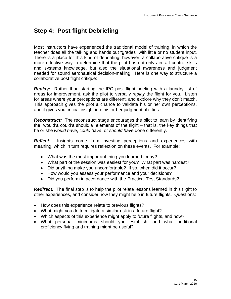### **Step 4: Post flight Debriefing**

Most instructors have experienced the traditional model of training, in which the teacher does all the talking and hands out "grades" with little or no student input. There is a place for this kind of debriefing; however, a collaborative critique is a more effective way to determine that the pilot has not only aircraft control skills and systems knowledge, but also the situational awareness and judgment needed for sound aeronautical decision-making. Here is one way to structure a collaborative post flight critique:

**Replay:** Rather than starting the IPC post flight briefing with a laundry list of areas for improvement, ask the pilot to verbally *replay* the flight for you. Listen for areas where your perceptions are different, and explore why they don't match. This approach gives the pilot a chance to validate his or her own perceptions, and it gives you critical insight into his or her judgment abilities.

*Reconstruct:* The reconstruct stage encourages the pilot to learn by identifying the "would'a could'a should'a" elements of the flight – that is, the key things that he or she *would have*, *could have*, or *should have* done differently.

*Reflect:* Insights come from investing perceptions and experiences with meaning, which in turn requires reflection on these events. For example:

- What was the most important thing you learned today?
- What part of the session was easiest for you? What part was hardest?
- Did anything make you uncomfortable? If so, when did it occur?
- How would you assess your performance and your decisions?
- Did you perform in accordance with the Practical Test Standards?

*Redirect:* The final step is to help the pilot relate lessons learned in this flight to other experiences, and consider how they might help in future flights. Questions:

- How does this experience relate to previous flights?
- What might you do to mitigate a similar risk in a future flight?
- Which aspects of this experience might apply to future flights, and how?
- What personal minimums should you establish, and what additional proficiency flying and training might be useful?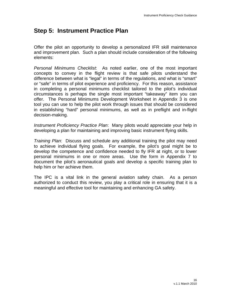### **Step 5: Instrument Practice Plan**

Offer the pilot an opportunity to develop a personalized IFR skill maintenance and improvement plan. Such a plan should include consideration of the following elements:

*Personal Minimums Checklist*: As noted earlier, one of the most important concepts to convey in the flight review is that safe pilots understand the difference between what is "legal" in terms of the regulations, and what is "smart" or "safe" in terms of pilot experience and proficiency. For this reason, assistance in completing a personal minimums checklist tailored to the pilot's individual circumstances is perhaps the single most important "takeaway" item you can offer. The Personal Minimums Development Worksheet in Appendix 3 is one tool you can use to help the pilot work through issues that should be considered in establishing "hard" personal minimums, as well as in preflight and in-flight decision-making.

*Instrument Proficiency Practice Plan*: Many pilots would appreciate your help in developing a plan for maintaining and improving basic instrument flying skills.

*Training Plan*: Discuss and schedule any additional training the pilot may need to achieve individual flying goals. For example, the pilot's goal might be to develop the competence and confidence needed to fly IFR at night, or to lower personal minimums in one or more areas. Use the form in Appendix 7 to document the pilot's aeronautical goals and develop a specific training plan to help him or her achieve them.

The IPC is a vital link in the general aviation safety chain. As a person authorized to conduct this review, you play a critical role in ensuring that it is a meaningful and effective tool for maintaining and enhancing GA safety.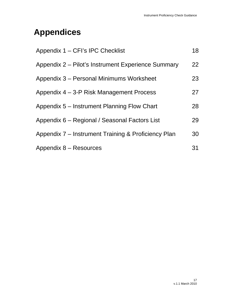## **Appendices**

| Appendix 1 - CFI's IPC Checklist                    | 18 |
|-----------------------------------------------------|----|
| Appendix 2 – Pilot's Instrument Experience Summary  | 22 |
| Appendix 3 – Personal Minimums Worksheet            | 23 |
| Appendix 4 – 3-P Risk Management Process            | 27 |
| Appendix 5 – Instrument Planning Flow Chart         | 28 |
| Appendix 6 – Regional / Seasonal Factors List       | 29 |
| Appendix 7 – Instrument Training & Proficiency Plan | 30 |
| Appendix 8 – Resources                              | 31 |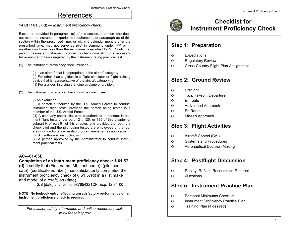### References

14 CFR 61.57(d) — *Instrument proficiency check.*

Except as provided in paragraph (e) of this section, a person who does not meet the instrument experience requirements of paragraph (c) of this section within the prescribed time, or within 6 calendar months after the prescribed time, may not serve as pilot in command under IFR or in weather conditions less than the minimums prescribed for VFR until that person passes an instrument proficiency check consisting of a representative number of tasks required by the instrument rating practical test.

(1) The instrument proficiency check must be—

(i) In an aircraft that is appropriate to the aircraft category; (ii) For other than a glider, in a flight simulator or flight training device that is representative of the aircraft category; or (iii) For a glider, in a single-engine airplane or a glider.

(2) The instrument proficiency check must be given by—

#### (i) An examiner;

(ii) A person authorized by the U.S. Armed Forces to conduct instrument flight tests, provided the person being tested is a member of the U.S. Armed Forces;

(iii) A company check pilot who is authorized to conduct instrument flight tests under part 121, 125, or 135 of this chapter or subpart K of part 91 of this chapter, and provided that both the check pilot and the pilot being tested are employees of that operator or fractional ownership program manager, as applicable;

(iv) An authorized instructor; or

(v) A person approved by the Administrator to conduct instrument practical tests.

#### **AC—61-65E**

#### **Completion of an instrument proficiency check: § 61.57**

**(d)** I certify that (First name, MI, Last name), (pilot certificate), (certificate number), has satisfactorily completed the instrument proficiency check of § 61.57(d) in a (list make and model of aircraft) on (date).

S/S [date] J. J. Jones 987654321CFI Exp. 12-31-00

#### **NOTE: No logbook entry reflecting unsatisfactory performance on an instrument proficiency check is required.**

*For aviation safety information and online resources, visit: www.faasafety.gov* 



### **Checklist for Instrument Proficiency Check**

### **Step 1: Preparation**

- o Expectations
- o Regulatory Review
- o Cross-Country Flight Plan Assignment

### **Step 2: Ground Review**

- o Preflight
- o Taxi, Takeoff, Departure
- o En route
- o Arrival and Approach
- o En Route
- o Missed Approach

### **Step 3: Flight Activities**

- o Aircraft Control (BAI)
- o Systems and Procedures
- o Aeronautical Decision-Making

### **Step 4: Postflight Discussion**

- o Replay, Reflect, Reconstruct, Redirect
- o Questions

### **Step 5: Instrument Practice Plan**

- o Personal Minimums Checklist
- o Instrument Proficiency Practice Plan
- o Training Plan (if desired)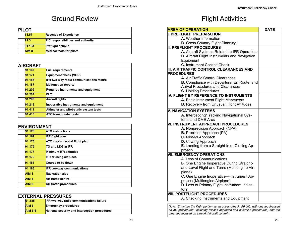### Ground Review

| <b>PILOT</b>     |                                           |
|------------------|-------------------------------------------|
| 61.57            | <b>Recency of Experience</b>              |
| 91.3             | <b>PIC responsibilities and authority</b> |
| 91.103           | <b>Preflight actions</b>                  |
| AIM <sub>8</sub> | <b>Medical facts for pilots</b>           |

| <b>AIRCRAFT</b> |                                                 |
|-----------------|-------------------------------------------------|
| 91.167          | <b>Fuel requirements</b>                        |
| 91.171          | Equipment check (VOR)                           |
| 91.185          | <b>IFR two-way radio communications failure</b> |
| 91.187          | <b>Malfunction reports</b>                      |
| 91.205          | <b>Required instruments and equipment</b>       |
| 91.207          | <b>ELT</b>                                      |
| 91.209          | <b>Aircraft lights</b>                          |
| 91.213          | Inoperative instruments and equipment           |
| 91.411          | Altimeter and pitot-static system tests         |
| 91.413          | <b>ATC transponder tests</b>                    |

| <b>ENVIRONMENT</b> |                                      |  |  |
|--------------------|--------------------------------------|--|--|
| 91.123             | <b>ATC</b> instructions              |  |  |
| 91.169             | <b>IFR</b> flight plan               |  |  |
| 91.173             | <b>ATC</b> clearance and flight plan |  |  |
| 91.175             | TO and LDG in IFR                    |  |  |
| 91.177             | Minimum IFR altitudes                |  |  |
| 91.179             | <b>IFR cruising altitudes</b>        |  |  |
| 91.181             | Course to be flown                   |  |  |
| 91.183             | <b>IFR two-way communications</b>    |  |  |
| AIM <sub>1</sub>   | Navigation aids                      |  |  |
| AIM <sub>4</sub>   | Air traffic control                  |  |  |
| AIM <sub>5</sub>   | Air traffic procedures               |  |  |

| <b>EXTERNAL PRESSURES</b> |                                                 |  |  |
|---------------------------|-------------------------------------------------|--|--|
| 91.185                    | <b>IFR two-way radio communications failure</b> |  |  |
| AIM <sub>6</sub>          | <b>Emergency procedures</b>                     |  |  |
| <b>AIM 5-6</b>            | National security and interception procedures   |  |  |

### Flight Activities

| <b>AREA OF OPERATION</b>                             | <b>DATE</b> |
|------------------------------------------------------|-------------|
| <b>II. PREFLIGHT PREPARATION</b>                     |             |
| A. Weather Information                               |             |
| <b>B.</b> Cross-Country Flight Planning              |             |
| <b>II. PREFLIGHT PROCEDURES</b>                      |             |
| A. Aircraft Systems Related to IFR Operations        |             |
| <b>B.</b> Aircraft Flight Instruments and Navigation |             |
| Equipment                                            |             |
| C. Instrument Cockpit Check                          |             |
| III. AIR TRAFFIC CONTROL CLEARANCES AND              |             |
| <b>PROCEDURES</b>                                    |             |
| A. Air Traffic Control Clearances                    |             |
| B. Compliance with Departure, En Route, and          |             |
| <b>Arrival Procedures and Clearances</b>             |             |
| C. Holding Procedures                                |             |
| IV. FLIGHT BY REFERENCE TO INSTRUMENTS               |             |
| A. Basic Instrument Flight Maneuvers                 |             |
| <b>B.</b> Recovery from Unusual Flight Attitudes     |             |
| V. NAVIGATION SYSTEMS                                |             |
| A. Intercepting/Tracking Navigational Sys-           |             |
| tems and DME Arcs                                    |             |
| <b>VI. INSTRUMENT APPROACH PROCEDURES</b>            |             |
| A. Nonprecision Approach (NPA)                       |             |
| <b>B.</b> Precision Approach (PA)                    |             |
| C. Missed Approach                                   |             |
| D. Circling Approach                                 |             |
| E. Landing from a Straight-in or Circling Ap-        |             |
| proach                                               |             |
| <b>VII. EMERGENCY OPERATIONS</b>                     |             |
| A. Loss of Communications                            |             |
| B. One Engine Inoperative During Straight-           |             |
| and-Level Flight and Turns (Multiengine Air-         |             |
| plane)                                               |             |
| C. One Engine Inoperative-Instrument Ap-             |             |
| proach (Multiengine Airplane)                        |             |
| D. Loss of Primary Flight Instrument Indica-         |             |
| tors                                                 |             |
| <b>VIII. POSTFLIGHT PROCEDURES</b>                   |             |
| A. Checking Instruments and Equipment                |             |
|                                                      |             |

*Note: Structure the flight portion as an out-and-back IFR XC, with one leg focused on XC procedures (including missed approach and diversion procedures) and the other leg focused on airwork (aircraft control).*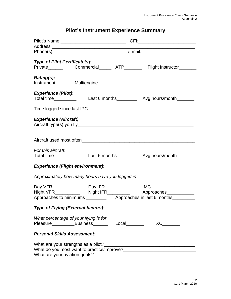### **Pilot's Instrument Experience Summary**

| Type of Pilot Certificate(s):                                                   |                                                  |                                                                                                                      |
|---------------------------------------------------------------------------------|--------------------------------------------------|----------------------------------------------------------------------------------------------------------------------|
|                                                                                 |                                                  |                                                                                                                      |
| Rating(s):                                                                      | Instrument________ Multiengine __________        |                                                                                                                      |
| <b>Experience (Pilot):</b>                                                      |                                                  |                                                                                                                      |
|                                                                                 |                                                  |                                                                                                                      |
|                                                                                 | Time logged since last IPC___________            |                                                                                                                      |
| <b>Experience (Aircraft):</b>                                                   |                                                  | <u> 1989 - Johann Stoff, amerikansk politiker (d. 1989)</u>                                                          |
|                                                                                 |                                                  |                                                                                                                      |
| For this aircraft.                                                              |                                                  |                                                                                                                      |
|                                                                                 |                                                  |                                                                                                                      |
| <b>Experience (Flight environment):</b>                                         |                                                  |                                                                                                                      |
|                                                                                 | Approximately how many hours have you logged in: |                                                                                                                      |
|                                                                                 |                                                  |                                                                                                                      |
|                                                                                 |                                                  |                                                                                                                      |
|                                                                                 |                                                  |                                                                                                                      |
|                                                                                 | Type of Flying (External factors):               |                                                                                                                      |
| What percentage of your flying is for.<br>Pleasure_____________Business________ |                                                  | $Local$ <sub>________</sub>                                                                                          |
| <b>Personal Skills Assessment.</b>                                              |                                                  |                                                                                                                      |
| What are your strengths as a pilot?                                             |                                                  | <u> 1989 - Jan James James James James James James James James James James James James James James James James J</u> |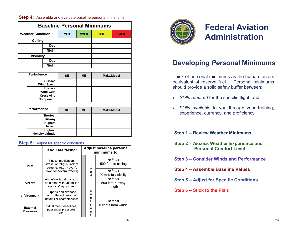| Step 4: Assemble and evaluate baseline personal minimums. |  |
|-----------------------------------------------------------|--|
|-----------------------------------------------------------|--|

| <b>Baseline Personal Minimums</b>   |                             |            |             |                   |      |
|-------------------------------------|-----------------------------|------------|-------------|-------------------|------|
| <b>Weather Condition</b>            |                             | <b>VFR</b> | <b>MVFR</b> | <b>IFR</b>        | LIFR |
| <b>Ceiling</b>                      |                             |            |             |                   |      |
|                                     | Day                         |            |             |                   |      |
|                                     | <b>Night</b>                |            |             |                   |      |
| <b>Visibility</b>                   |                             |            |             |                   |      |
|                                     | <b>Day</b>                  |            |             |                   |      |
|                                     | <b>Night</b>                |            |             |                   |      |
|                                     |                             |            |             |                   |      |
| <b>Turbulence</b>                   |                             | <b>SE</b>  | <b>ME</b>   | <b>Make/Model</b> |      |
| <b>Surface</b><br><b>Wind Speed</b> |                             |            |             |                   |      |
| <b>Surface</b><br><b>Wind Gust</b>  |                             |            |             |                   |      |
| <b>Crosswind</b><br>Component       |                             |            |             |                   |      |
|                                     |                             |            |             |                   |      |
| Performance                         |                             | <b>SE</b>  | <b>ME</b>   | <b>Make/Model</b> |      |
| <b>Shortest</b><br>runway           |                             |            |             |                   |      |
|                                     | <b>Highest</b><br>terrain   |            |             |                   |      |
|                                     | Highest<br>density altitude |            |             |                   |      |

#### **Step 5:** Adjust for specific conditions.

|                                     | If you are facing:                                                               | <b>Adjust baseline personal</b><br>minimums to: |             |                                              |  |  |
|-------------------------------------|----------------------------------------------------------------------------------|-------------------------------------------------|-------------|----------------------------------------------|--|--|
| <b>Pilot</b>                        | Illness, medication,<br>stress, or fatigue; lack of<br>currency (e.g., haven't   |                                                 |             | At least<br>500 feet to ceiling              |  |  |
|                                     | flown for several weeks)                                                         |                                                 | Α<br>d<br>d | At least<br>$\frac{1}{2}$ mile to visibility |  |  |
| Aircraft                            | An unfamiliar airplane, or<br>an aircraft with unfamiliar<br>avionics/equipment: |                                                 |             | At least<br>500 ft to runway<br>length       |  |  |
| enVironment                         | Airports and airspace<br>with different terrain or<br>unfamiliar characteristics |                                                 | S<br>u<br>b | At least                                     |  |  |
| <b>External</b><br><b>Pressures</b> | "Must meet" deadlines,<br>passenger pressures;<br>etc.                           |                                                 | a<br>C      | 5 knots from winds                           |  |  |



# **Federal Aviation Administration**

### **Developing** *Personal* **Minimums**

Think of personal minimums as the human factors equivalent of reserve fuel. Personal minimums should provide a solid safety buffer between:

- *Skills required* for the specific flight, and
- *Skills available* to you through your training, experience, currency, and proficiency.

#### **Step 1 – Review Weather Minimums**

- **Step 2 Assess Weather Experience and Personal Comfort Level**
- **Step 3 Consider Winds and Performance**
- **Step 4 Assemble Baseline Values**
- **Step 5 Adjust for Specific Conditions**
- **Step 6 Stick to the Plan!**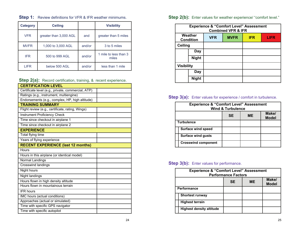| Category    | <b>Ceiling</b>           |        | <b>Visibility</b>              |
|-------------|--------------------------|--------|--------------------------------|
| <b>VFR</b>  | greater than 3,000 AGL   |        | greater than 5 miles           |
| <b>MVFR</b> | 1,000 to 3,000 AGL       | and/or | 3 to 5 miles                   |
| <b>IFR</b>  | 500 to 999 AGL<br>and/or |        | 1 mile to less than 3<br>miles |
| <b>LIFR</b> | below 500 AGL            | and/or | less than 1 mile               |

**Step 1:** Review definitions for VFR & IFR weather minimums.

#### Step 2(a): Record certification, training, & recent experience.

| <b>CERTIFICATION LEVEL</b>                         |
|----------------------------------------------------|
| Certificate level (e.g., private, commercial, ATP) |
| Ratings (e.g., instrument, multiengine)            |
| Endorsements (e.g., complex, HP, high altitude)    |
| <b>TRAINING SUMMARY</b>                            |
| Flight review (e.g., certificate, rating, Wings)   |
| <b>Instrument Proficiency Check</b>                |
| Time since checkout in airplane 1                  |
| Time since checkout in airplane 2                  |
| <b>EXPERIENCE</b>                                  |
| Total flying time                                  |
| Years of flying experience                         |
| <b>RECENT EXPERIENCE (last 12 months)</b>          |
| Hours                                              |
| Hours in this airplane (or identical model)        |
| Normal Landings                                    |
| Crosswind landings                                 |
| Night hours                                        |
| Night landings                                     |
| Hours flown in high density altitude               |
| Hours flown in mountainous terrain                 |
| <b>IFR hours</b>                                   |
| IMC hours (actual conditions)                      |
| Approaches (actual or simulated)                   |
| Time with specific GPS navigator                   |
| Time with specific autopilot                       |

**Step 2(b):** Enter values for weather experience/ "comfort level."

|                             | <b>Experience &amp; "Comfort Level" Assessment</b><br><b>Combined VFR &amp; IFR</b> |            |             |            |             |
|-----------------------------|-------------------------------------------------------------------------------------|------------|-------------|------------|-------------|
| Weather<br><b>Condition</b> |                                                                                     | <b>VFR</b> | <b>MVFR</b> | <b>IFR</b> | <b>LIFR</b> |
| <b>Ceiling</b>              |                                                                                     |            |             |            |             |
|                             | Day                                                                                 |            |             |            |             |
|                             | <b>Night</b>                                                                        |            |             |            |             |
| <b>Visibility</b>           |                                                                                     |            |             |            |             |
|                             | Day                                                                                 |            |             |            |             |
|                             | <b>Night</b>                                                                        |            |             |            |             |

#### **Step 3(a):** Enter values for experience / comfort in turbulence.

| <b>Experience &amp; "Comfort Level" Assessment</b><br><b>Wind &amp; Turbulence</b> |  |  |                       |
|------------------------------------------------------------------------------------|--|--|-----------------------|
| <b>SE</b><br><b>ME</b>                                                             |  |  | Make/<br><b>Model</b> |
| <b>Turbulence</b>                                                                  |  |  |                       |
| <b>Surface wind speed</b>                                                          |  |  |                       |
| <b>Surface wind gusts</b>                                                          |  |  |                       |
| <b>Crosswind component</b>                                                         |  |  |                       |

#### **Step 3(b):** Enter values for performance.

| <b>Experience &amp; "Comfort Level" Assessment</b><br><b>Performance Factors</b> |           |           |                       |
|----------------------------------------------------------------------------------|-----------|-----------|-----------------------|
|                                                                                  | <b>SE</b> | <b>ME</b> | Make/<br><b>Model</b> |
| <b>Performance</b>                                                               |           |           |                       |
| <b>Shortest runway</b>                                                           |           |           |                       |
| <b>Highest terrain</b>                                                           |           |           |                       |
| <b>Highest density altitude</b>                                                  |           |           |                       |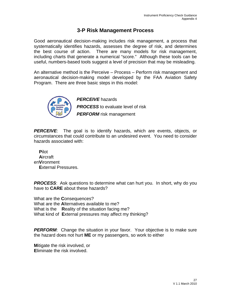### **3-P Risk Management Process**

Good aeronautical decision-making includes risk management, a process that systematically identifies hazards, assesses the degree of risk, and determines the best course of action. There are many models for risk management, including charts that generate a numerical "score." Although these tools can be useful, numbers-based tools suggest a level of precision that may be misleading.

An alternative method is the Perceive – Process – Perform risk management and aeronautical decision-making model developed by the FAA Aviation Safety Program. There are three basic steps in this model:



*PERCEIVE* hazards *PROCESS* to evaluate level of risk *PERFORM* risk management

**PERCEIVE:** The goal is to identify hazards, which are events, objects, or circumstances that could contribute to an undesired event. You need to consider hazards associated with:

 **P**ilot  **A**ircraft en**V**ironment  **E**xternal Pressures.

**PROCESS:** Ask questions to determine what can hurt you. In short, why do you have to **CARE** about these hazards?

What are the **C**onsequences? What are the **A**lternatives available to me? What is the **R**eality of the situation facing me? What kind of **E**xternal pressures may affect my thinking?

**PERFORM:** Change the situation in your favor. Your objective is to make sure the hazard does not hurt **ME** or my passengers, so work to either

**M**itigate the risk involved, or **E**liminate the risk involved.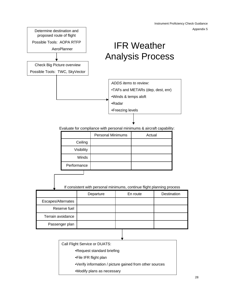

|                    | Departure | En route | Destination |
|--------------------|-----------|----------|-------------|
| Escapes/Alternates |           |          |             |
| Reserve fuel       |           |          |             |
| Terrain avoidance  |           |          |             |
| Passenger plan     |           |          |             |

Call Flight Service or DUATS:

•Request standard briefing

•File IFR flight plan

•Verify information / picture gained from other sources

•Modify plans as necessary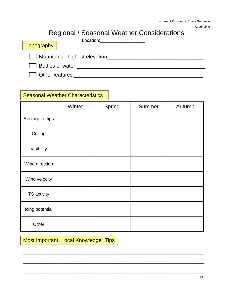### Regional / Seasonal Weather Considerations

| Topography                               | Location:______________________ |  |
|------------------------------------------|---------------------------------|--|
|                                          | Mountains: highest elevation    |  |
| □ Bodies of water:<br>□ Bodies of water: |                                 |  |
| Other features:                          |                                 |  |

\_\_\_\_\_\_\_\_\_\_\_\_\_\_\_\_\_\_\_\_\_\_\_\_\_\_\_\_\_\_\_\_\_\_\_\_\_\_\_\_\_\_\_\_\_\_\_\_\_\_\_\_\_\_\_\_

### Seasonal Weather Characteristics

|                 | Winter | Spring | Summer | Autumn |
|-----------------|--------|--------|--------|--------|
| Average temps   |        |        |        |        |
| Ceiling         |        |        |        |        |
| Visibility      |        |        |        |        |
| Wind direction  |        |        |        |        |
| Wind velocity   |        |        |        |        |
| TS activity     |        |        |        |        |
| Icing potential |        |        |        |        |
| Other           |        |        |        |        |

\_\_\_\_\_\_\_\_\_\_\_\_\_\_\_\_\_\_\_\_\_\_\_\_\_\_\_\_\_\_\_\_\_\_\_\_\_\_\_\_\_\_\_\_\_\_\_\_\_\_\_\_\_\_\_\_\_\_\_\_\_\_

\_\_\_\_\_\_\_\_\_\_\_\_\_\_\_\_\_\_\_\_\_\_\_\_\_\_\_\_\_\_\_\_\_\_\_\_\_\_\_\_\_\_\_\_\_\_\_\_\_\_\_\_\_\_\_\_\_\_\_\_\_\_

\_\_\_\_\_\_\_\_\_\_\_\_\_\_\_\_\_\_\_\_\_\_\_\_\_\_\_\_\_\_\_\_\_\_\_\_\_\_\_\_\_\_\_\_\_\_\_\_\_\_\_\_\_\_\_\_\_\_\_\_\_\_

Most Important "Local Knowledge" Tips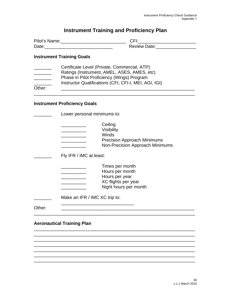### **Instrument Training and Proficiency Plan**

| Pilot's Name: |                     |
|---------------|---------------------|
| Date:         | <b>Review Date:</b> |

### **Instrument Training Goals**

|        | Certificate Level (Private, Commercial, ATP)          |
|--------|-------------------------------------------------------|
|        | Ratings (Instrument, AMEL, ASES, AMES, etc)           |
|        | Phase in Pilot Proficiency (Wings) Program            |
|        | Instructor Qualifications (CFI, CFI-I, MEI, AGI, IGI) |
| Other: |                                                       |
|        |                                                       |

### **Instrument Proficiency Goals**

|        | Lower personal minimums to:       |                                                                                                                |
|--------|-----------------------------------|----------------------------------------------------------------------------------------------------------------|
|        |                                   | Ceiling<br><b>Visibility</b><br>Winds<br><b>Precision Approach Minimums</b><br>Non-Precision Approach Minimums |
|        | Fly IFR / IMC at least:           |                                                                                                                |
|        |                                   | Times per month<br>Hours per month<br>Hours per year<br>XC flights per year<br>Night hours per month           |
|        | Make an IFR / IMC XC trip to:     |                                                                                                                |
| Other: |                                   |                                                                                                                |
|        | <b>Aeronautical Training Plan</b> |                                                                                                                |
|        |                                   |                                                                                                                |

\_\_\_\_\_\_\_\_\_\_\_\_\_\_\_\_\_\_\_\_\_\_\_\_\_\_\_\_\_\_\_\_\_\_\_\_\_\_\_\_\_\_\_\_\_\_\_\_\_\_\_\_\_\_\_\_\_\_\_\_\_\_\_\_ \_\_\_\_\_\_\_\_\_\_\_\_\_\_\_\_\_\_\_\_\_\_\_\_\_\_\_\_\_\_\_\_\_\_\_\_\_\_\_\_\_\_\_\_\_\_\_\_\_\_\_\_\_\_\_\_\_\_\_\_\_\_\_\_

\_\_\_\_\_\_\_\_\_\_\_\_\_\_\_\_\_\_\_\_\_\_\_\_\_\_\_\_\_\_\_\_\_\_\_\_\_\_\_\_\_\_\_\_\_\_\_\_\_\_\_\_\_\_\_\_\_\_\_\_\_\_\_\_